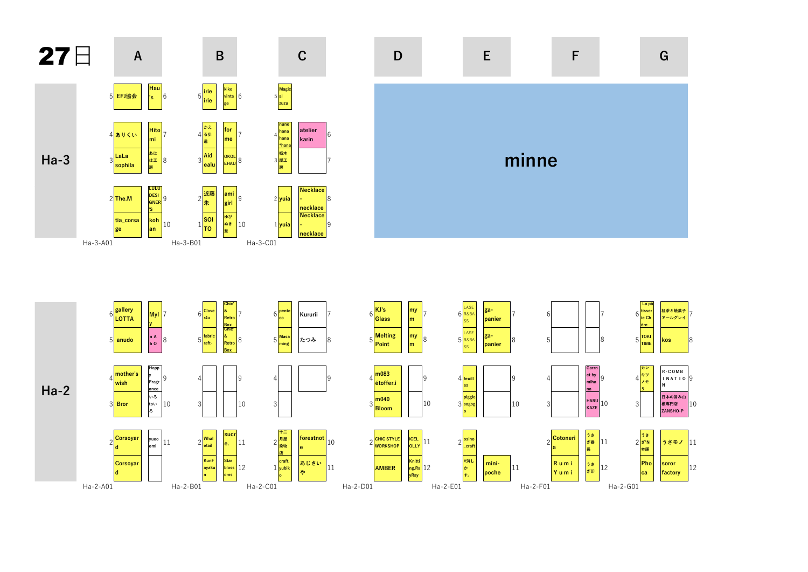





 $\mathsf F$